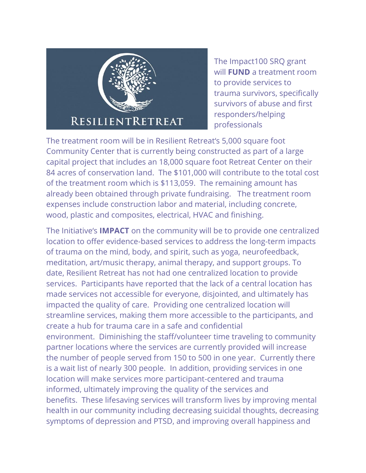

The Impact100 SRQ grant will **FUND** a treatment room to provide services to trauma survivors, specifically survivors of abuse and first responders/helping professionals

The treatment room will be in Resilient Retreat's 5,000 square foot Community Center that is currently being constructed as part of a large capital project that includes an 18,000 square foot Retreat Center on their 84 acres of conservation land. The \$101,000 will contribute to the total cost of the treatment room which is \$113,059. The remaining amount has already been obtained through private fundraising. The treatment room expenses include construction labor and material, including concrete, wood, plastic and composites, electrical, HVAC and finishing.

The Initiative's **IMPACT** on the community will be to provide one centralized location to offer evidence-based services to address the long-term impacts of trauma on the mind, body, and spirit, such as yoga, neurofeedback, meditation, art/music therapy, animal therapy, and support groups. To date, Resilient Retreat has not had one centralized location to provide services. Participants have reported that the lack of a central location has made services not accessible for everyone, disjointed, and ultimately has impacted the quality of care. Providing one centralized location will streamline services, making them more accessible to the participants, and create a hub for trauma care in a safe and confidential environment. Diminishing the staff/volunteer time traveling to community partner locations where the services are currently provided will increase the number of people served from 150 to 500 in one year. Currently there is a wait list of nearly 300 people. In addition, providing services in one location will make services more participant-centered and trauma informed, ultimately improving the quality of the services and benefits. These lifesaving services will transform lives by improving mental health in our community including decreasing suicidal thoughts, decreasing symptoms of depression and PTSD, and improving overall happiness and